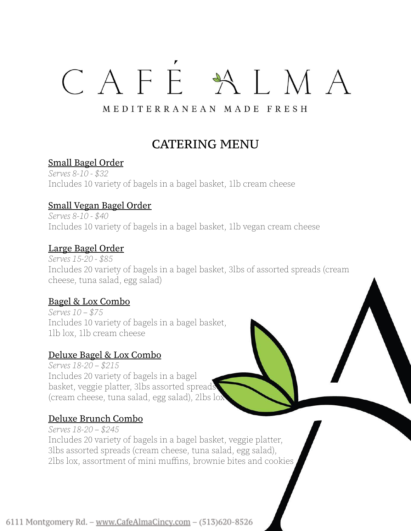# CAFE ALMA

# MEDITERRANEAN MADE FRESH

# CATERING MENU

# Small Bagel Order

Serves 8-10 - \$32 Includes 10 variety of bagels in a bagel basket, 1lb cream cheese

# Small Vegan Bagel Order

Serves 8-10 - \$40 Includes 10 variety of bagels in a bagel basket, 1lb vegan cream cheese

# Large Bagel Order

Serves 15-20 - \$85 Includes 20 variety of bagels in a bagel basket, 3lbs of assorted spreads (cream cheese, tuna salad, egg salad)

# Bagel & Lox Combo

Serves 10 – \$75 Includes 10 variety of bagels in a bagel basket, 1lb lox, 1lb cream cheese

### Deluxe Bagel & Lox Combo

Serves 18-20 – \$215 Includes 20 variety of bagels in a bagel basket, veggie platter, 3lbs assorted spreads (cream cheese, tuna salad, egg salad), 2lbs lox

# Deluxe Brunch Combo

Serves 18-20 – \$245 Includes 20 variety of bagels in a bagel basket, veggie platter, 3lbs assorted spreads (cream cheese, tuna salad, egg salad), 2lbs lox, assortment of mini muffins, brownie bites and cookies